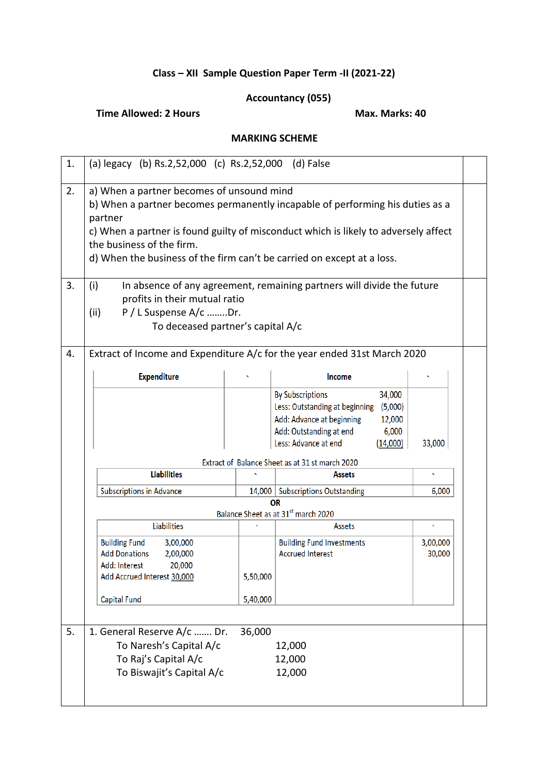## **Class – XII Sample Question Paper Term -II (2021-22)**

## **Accountancy (055)**

## **Time Allowed: 2 Hours Max. Marks: 40**

## **MARKING SCHEME**

| 1. | (a) legacy (b) Rs.2,52,000 (c) Rs.2,52,000 (d) False                                                                                                                                                                                                                                                                                |                      |                                                                                                                                                                                               |                    |  |  |  |
|----|-------------------------------------------------------------------------------------------------------------------------------------------------------------------------------------------------------------------------------------------------------------------------------------------------------------------------------------|----------------------|-----------------------------------------------------------------------------------------------------------------------------------------------------------------------------------------------|--------------------|--|--|--|
| 2. | a) When a partner becomes of unsound mind<br>b) When a partner becomes permanently incapable of performing his duties as a<br>partner<br>c) When a partner is found guilty of misconduct which is likely to adversely affect<br>the business of the firm.<br>d) When the business of the firm can't be carried on except at a loss. |                      |                                                                                                                                                                                               |                    |  |  |  |
| 3. | (i)<br>profits in their mutual ratio<br>P / L Suspense A/c Dr.<br>(ii)<br>To deceased partner's capital A/c                                                                                                                                                                                                                         |                      | In absence of any agreement, remaining partners will divide the future                                                                                                                        |                    |  |  |  |
| 4. | Extract of Income and Expenditure A/c for the year ended 31st March 2020<br><b>Expenditure</b>                                                                                                                                                                                                                                      |                      | Income                                                                                                                                                                                        |                    |  |  |  |
|    |                                                                                                                                                                                                                                                                                                                                     |                      | <b>By Subscriptions</b><br>34,000<br>Less: Outstanding at beginning<br>(5,000)<br>Add: Advance at beginning<br>12,000<br>Add: Outstanding at end<br>6,000<br>Less: Advance at end<br>(14,000) | 33,000             |  |  |  |
|    | <b>Liabilities</b>                                                                                                                                                                                                                                                                                                                  |                      | Extract of Balance Sheet as at 31 st march 2020<br><b>Assets</b>                                                                                                                              | k.                 |  |  |  |
|    | <b>Subscriptions in Advance</b>                                                                                                                                                                                                                                                                                                     |                      | 14,000   Subscriptions Outstanding                                                                                                                                                            | 6,000              |  |  |  |
|    |                                                                                                                                                                                                                                                                                                                                     |                      | OR<br>Balance Sheet as at 31st march 2020                                                                                                                                                     |                    |  |  |  |
|    | <b>Liabilities</b>                                                                                                                                                                                                                                                                                                                  |                      | <b>Assets</b>                                                                                                                                                                                 |                    |  |  |  |
|    | <b>Building Fund</b><br>3,00,000<br><b>Add Donations</b><br>2,00,000<br>20,000<br>Add: Interest<br>Add Accrued Interest 30,000<br>Capital Fund                                                                                                                                                                                      | 5,50,000<br>5,40,000 | <b>Building Fund Investments</b><br><b>Accrued Interest</b>                                                                                                                                   | 3,00,000<br>30,000 |  |  |  |
| 5. | 1. General Reserve A/c  Dr.<br>To Naresh's Capital A/c<br>To Raj's Capital A/c<br>To Biswajit's Capital A/c                                                                                                                                                                                                                         | 36,000               | 12,000<br>12,000<br>12,000                                                                                                                                                                    |                    |  |  |  |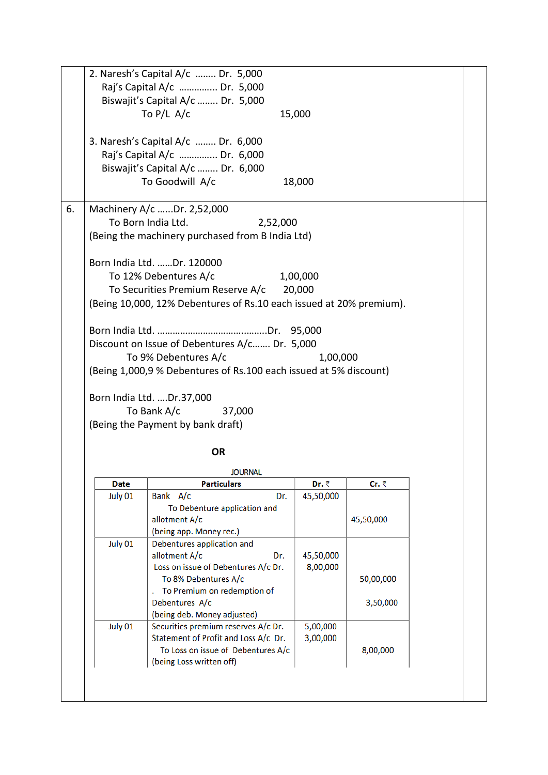|    |             | 2. Naresh's Capital A/c  Dr. 5,000                                  |           |           |  |
|----|-------------|---------------------------------------------------------------------|-----------|-----------|--|
|    |             | Raj's Capital A/c  Dr. 5,000                                        |           |           |  |
|    |             | Biswajit's Capital A/c  Dr. 5,000<br>To $P/L$ A/c                   |           |           |  |
|    |             |                                                                     | 15,000    |           |  |
|    |             | 3. Naresh's Capital A/c  Dr. 6,000                                  |           |           |  |
|    |             | Raj's Capital A/c  Dr. 6,000                                        |           |           |  |
|    |             | Biswajit's Capital A/c  Dr. 6,000                                   |           |           |  |
|    |             | To Goodwill A/c                                                     | 18,000    |           |  |
| 6. |             | Machinery A/c Dr. 2,52,000                                          |           |           |  |
|    |             | To Born India Ltd.<br>2,52,000                                      |           |           |  |
|    |             | (Being the machinery purchased from B India Ltd)                    |           |           |  |
|    |             | Born India Ltd. Dr. 120000                                          |           |           |  |
|    |             | To 12% Debentures A/c                                               | 1,00,000  |           |  |
|    |             | To Securities Premium Reserve A/c 20,000                            |           |           |  |
|    |             | (Being 10,000, 12% Debentures of Rs.10 each issued at 20% premium). |           |           |  |
|    |             |                                                                     |           |           |  |
|    |             | Discount on Issue of Debentures A/c Dr. 5,000                       |           |           |  |
|    |             | To 9% Debentures A/c                                                | 1,00,000  |           |  |
|    |             | (Being 1,000,9 % Debentures of Rs.100 each issued at 5% discount)   |           |           |  |
|    |             | To Bank A/c<br>37,000                                               |           |           |  |
|    |             | (Being the Payment by bank draft)<br><b>OR</b>                      |           |           |  |
|    |             |                                                                     |           |           |  |
|    | <b>Date</b> | <b>JOURNAL</b><br><b>Particulars</b>                                | Dr. ₹     | Cr. ₹     |  |
|    | July 01     | Bank A/c<br>Dr.                                                     | 45,50,000 |           |  |
|    |             | To Debenture application and                                        |           |           |  |
|    |             | allotment A/c                                                       |           | 45,50,000 |  |
|    | July 01     | (being app. Money rec.)<br>Debentures application and               |           |           |  |
|    |             | allotment A/c<br>Dr.                                                | 45,50,000 |           |  |
|    |             | Loss on issue of Debentures A/c Dr.                                 | 8,00,000  |           |  |
|    |             | To 8% Debentures A/c                                                |           | 50,00,000 |  |
|    |             | To Premium on redemption of<br>Debentures A/c                       |           |           |  |
|    |             | (being deb. Money adjusted)                                         |           | 3,50,000  |  |
|    | July 01     | Securities premium reserves A/c Dr.                                 | 5,00,000  |           |  |
|    |             | Statement of Profit and Loss A/c Dr.                                | 3,00,000  |           |  |
|    |             | To Loss on issue of Debentures A/c                                  |           | 8,00,000  |  |
|    |             | (being Loss written off)                                            |           |           |  |
|    |             |                                                                     |           |           |  |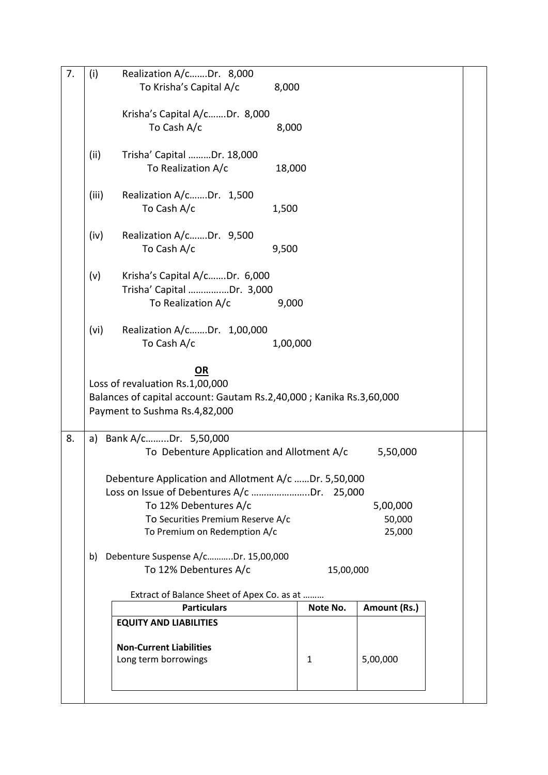| 7. | (i)   | Realization A/cDr. 8,000                                             |           |              |  |
|----|-------|----------------------------------------------------------------------|-----------|--------------|--|
|    |       | To Krisha's Capital A/c                                              | 8,000     |              |  |
|    |       |                                                                      |           |              |  |
|    |       | Krisha's Capital A/cDr. 8,000                                        |           |              |  |
|    |       | To Cash A/c                                                          | 8,000     |              |  |
|    |       |                                                                      |           |              |  |
|    | (ii)  | Trisha' Capital Dr. 18,000                                           |           |              |  |
|    |       | To Realization A/c                                                   | 18,000    |              |  |
|    |       |                                                                      |           |              |  |
|    | (iii) | Realization A/cDr. 1,500                                             |           |              |  |
|    |       | To Cash A/c                                                          | 1,500     |              |  |
|    |       |                                                                      |           |              |  |
|    | (iv)  | Realization A/cDr. 9,500                                             |           |              |  |
|    |       | To Cash A/c                                                          | 9,500     |              |  |
|    |       |                                                                      |           |              |  |
|    | (v)   | Krisha's Capital A/cDr. 6,000                                        |           |              |  |
|    |       | Trisha' Capital Dr. 3,000                                            |           |              |  |
|    |       | To Realization A/c                                                   | 9,000     |              |  |
|    | (vi)  | Realization A/cDr. 1,00,000                                          |           |              |  |
|    |       | To Cash A/c                                                          | 1,00,000  |              |  |
|    |       |                                                                      |           |              |  |
|    |       | <b>OR</b>                                                            |           |              |  |
|    |       | Loss of revaluation Rs.1,00,000                                      |           |              |  |
|    |       | Balances of capital account: Gautam Rs.2,40,000 ; Kanika Rs.3,60,000 |           |              |  |
|    |       | Payment to Sushma Rs.4,82,000                                        |           |              |  |
|    |       |                                                                      |           |              |  |
| 8. |       | a) Bank A/cDr. 5,50,000                                              |           |              |  |
|    |       | To Debenture Application and Allotment A/c                           |           | 5,50,000     |  |
|    |       |                                                                      |           |              |  |
|    |       | Debenture Application and Allotment A/c Dr. 5,50,000                 |           |              |  |
|    |       |                                                                      |           |              |  |
|    |       | To 12% Debentures A/c                                                |           | 5,00,000     |  |
|    |       | To Securities Premium Reserve A/c                                    |           | 50,000       |  |
|    |       | To Premium on Redemption A/c                                         |           | 25,000       |  |
|    | b)    | Debenture Suspense A/cDr. 15,00,000                                  |           |              |  |
|    |       | To 12% Debentures A/c                                                | 15,00,000 |              |  |
|    |       |                                                                      |           |              |  |
|    |       | Extract of Balance Sheet of Apex Co. as at                           |           |              |  |
|    |       | <b>Particulars</b>                                                   | Note No.  | Amount (Rs.) |  |
|    |       | <b>EQUITY AND LIABILITIES</b>                                        |           |              |  |
|    |       |                                                                      |           |              |  |
|    |       | <b>Non-Current Liabilities</b>                                       |           |              |  |
|    |       | Long term borrowings                                                 | 1         | 5,00,000     |  |
|    |       |                                                                      |           |              |  |
|    |       |                                                                      |           |              |  |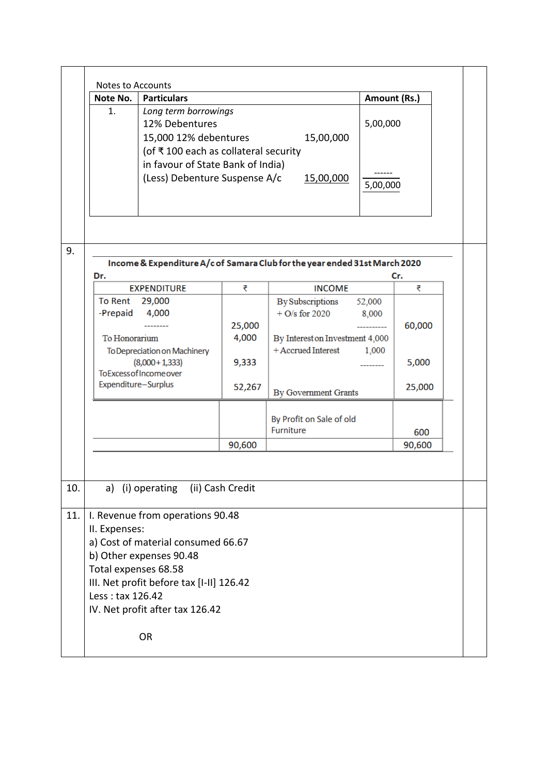|            | <b>Notes to Accounts</b>                                  |                                                                                                                                                                                  |                  |                                                                                                      |                 |                 |  |
|------------|-----------------------------------------------------------|----------------------------------------------------------------------------------------------------------------------------------------------------------------------------------|------------------|------------------------------------------------------------------------------------------------------|-----------------|-----------------|--|
|            | Note No.                                                  | <b>Particulars</b>                                                                                                                                                               |                  |                                                                                                      |                 | Amount (Rs.)    |  |
|            | 1.                                                        | Long term borrowings<br>12% Debentures<br>15,000 12% debentures<br>15,00,000<br>(of ₹100 each as collateral security<br>in favour of State Bank of India)                        |                  |                                                                                                      |                 | 5,00,000        |  |
|            |                                                           | (Less) Debenture Suspense A/c                                                                                                                                                    |                  | 15,00,000                                                                                            | 5,00,000        |                 |  |
| 9.         | Dr.                                                       |                                                                                                                                                                                  |                  | Income & Expenditure A/c of Samara Club for the year ended 31st March 2020                           |                 | Cr.             |  |
|            |                                                           | <b>EXPENDITURE</b>                                                                                                                                                               | ₹                | <b>INCOME</b>                                                                                        |                 | ₹               |  |
|            | To Rent<br>-Prepaid<br>To Honorarium                      | 29,000<br>4,000                                                                                                                                                                  | 25,000<br>4,000  | <b>By Subscriptions</b><br>$+$ O/s for 2020<br>By Interest on Investment 4,000<br>+ Accrued Interest | 52,000<br>8,000 | 60,000          |  |
|            | Expenditure-Surplus                                       | To Depreciation on Machinery<br>$(8,000 + 1,333)$<br><b>ToExcess of Income over</b>                                                                                              | 9,333<br>52,267  | By Government Grants                                                                                 | 1,000           | 5,000<br>25,000 |  |
|            |                                                           |                                                                                                                                                                                  |                  | By Profit on Sale of old<br><b>Furniture</b>                                                         |                 | 600             |  |
|            |                                                           |                                                                                                                                                                                  | 90,600           |                                                                                                      |                 | 90,600          |  |
| 10.<br>11. |                                                           | a) (i) operating                                                                                                                                                                 | (ii) Cash Credit |                                                                                                      |                 |                 |  |
|            | II. Expenses:<br>Total expenses 68.58<br>Less: tax 126.42 | I. Revenue from operations 90.48<br>a) Cost of material consumed 66.67<br>b) Other expenses 90.48<br>III. Net profit before tax [I-II] 126.42<br>IV. Net profit after tax 126.42 |                  |                                                                                                      |                 |                 |  |
|            |                                                           | <b>OR</b>                                                                                                                                                                        |                  |                                                                                                      |                 |                 |  |